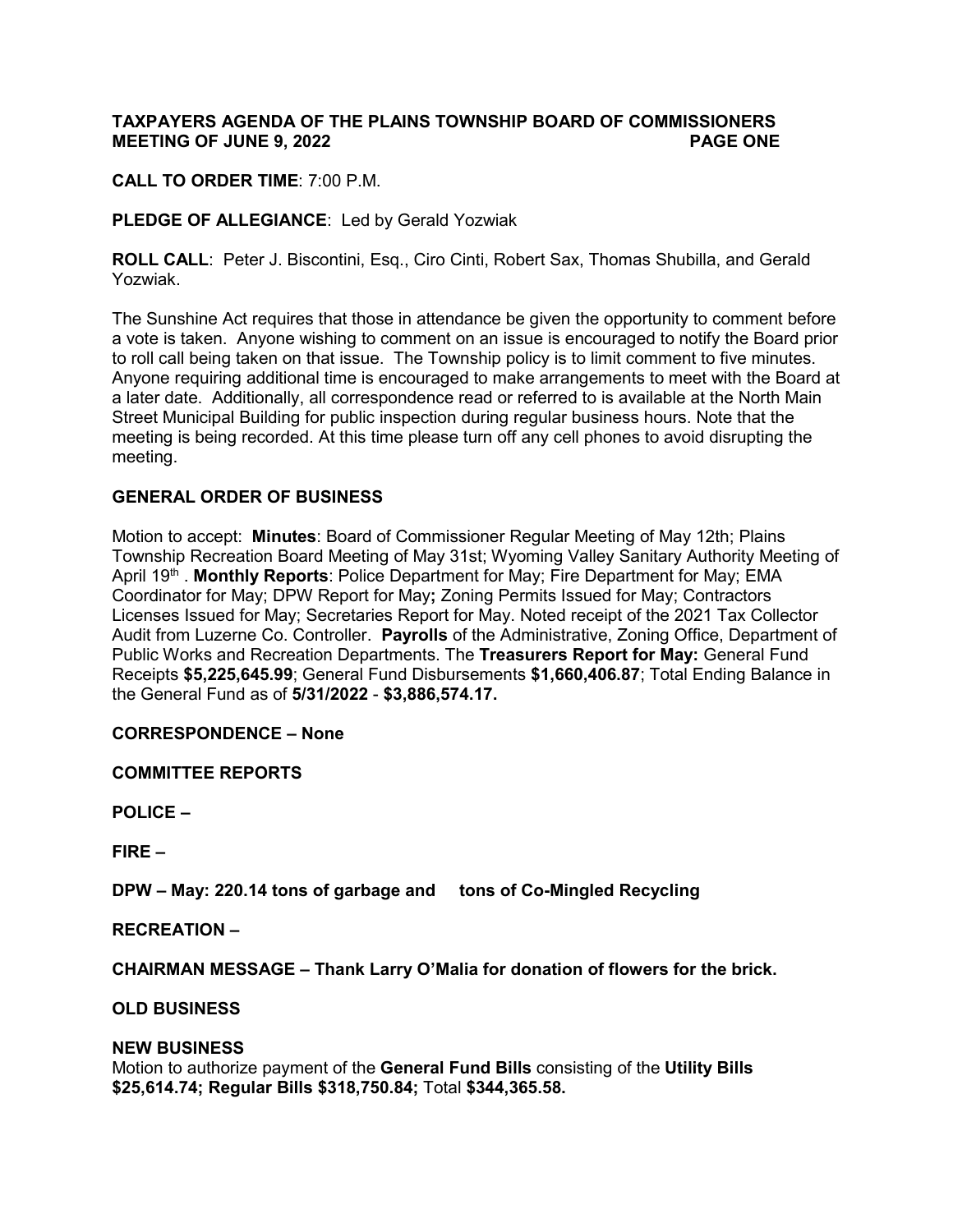# **TAXPAYERS AGENDA OF THE PLAINS TOWNSHIP BOARD OF COMMISSIONERS MEETING OF JUNE 9, 2022 PAGE ONE**

**CALL TO ORDER TIME**: 7:00 P.M.

**PLEDGE OF ALLEGIANCE**: Led by Gerald Yozwiak

**ROLL CALL**: Peter J. Biscontini, Esq., Ciro Cinti, Robert Sax, Thomas Shubilla, and Gerald Yozwiak.

The Sunshine Act requires that those in attendance be given the opportunity to comment before a vote is taken. Anyone wishing to comment on an issue is encouraged to notify the Board prior to roll call being taken on that issue. The Township policy is to limit comment to five minutes. Anyone requiring additional time is encouraged to make arrangements to meet with the Board at a later date. Additionally, all correspondence read or referred to is available at the North Main Street Municipal Building for public inspection during regular business hours. Note that the meeting is being recorded. At this time please turn off any cell phones to avoid disrupting the meeting.

# **GENERAL ORDER OF BUSINESS**

Motion to accept: **Minutes**: Board of Commissioner Regular Meeting of May 12th; Plains Township Recreation Board Meeting of May 31st; Wyoming Valley Sanitary Authority Meeting of April 19<sup>th</sup> . **Monthly Reports**: Police Department for May; Fire Department for May; EMA Coordinator for May; DPW Report for May**;** Zoning Permits Issued for May; Contractors Licenses Issued for May; Secretaries Report for May. Noted receipt of the 2021 Tax Collector Audit from Luzerne Co. Controller. **Payrolls** of the Administrative, Zoning Office, Department of Public Works and Recreation Departments. The **Treasurers Report for May:** General Fund Receipts **\$5,225,645.99**; General Fund Disbursements **\$1,660,406.87**; Total Ending Balance in the General Fund as of **5/31/2022** - **\$3,886,574.17.** 

#### **CORRESPONDENCE – None**

**COMMITTEE REPORTS**

**POLICE –** 

**FIRE –**

**DPW – May: 220.14 tons of garbage and tons of Co-Mingled Recycling**

**RECREATION –**

**CHAIRMAN MESSAGE – Thank Larry O'Malia for donation of flowers for the brick.**

# **OLD BUSINESS**

#### **NEW BUSINESS**

Motion to authorize payment of the **General Fund Bills** consisting of the **Utility Bills \$25,614.74; Regular Bills \$318,750.84;** Total **\$344,365.58.**